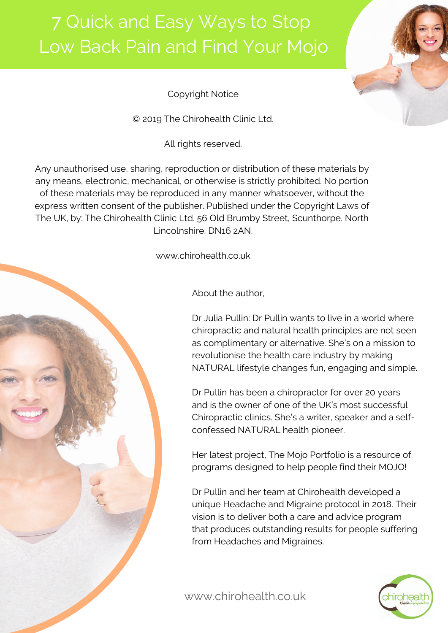

Copyright Notice

© 2019 The Chirohealth Clinic Ltd.

All rights reserved.

Any unauthorised use, sharing, reproduction or distribution of these materials by any means, electronic, mechanical, or otherwise is strictly prohibited. No portion of these materials may be reproduced in any manner whatsoever, without the express written consent of the publisher. Published under the Copyright Laws of The UK, by: The Chirohealth Clinic Ltd. 56 Old Brumby Street, Scunthorpe. North Lincolnshire. DN16 2AN.

www.chirohealth.co.uk

About the author,

Dr Julia Pullin: Dr Pullin wants to live in a world where chiropractic and natural health principles are not seen as complimentary or alternative. She's on a mission to revolutionise the health care industry by making NATURAL lifestyle changes fun, engaging and simple.

Dr Pullin has been a chiropractor for over 20 years and is the owner of one of the UK's most successful Chiropractic clinics. She's a writer, speaker and a selfconfessed NATURAL health pioneer.

Her latest project, The Mojo Portfolio is a resource of programs designed to help people find their MOJO!

Dr Pullin and her team at Chirohealth developed a unique Headache and Migraine protocol in 2018. Their vision is to deliver both a care and advice program that produces outstanding results for people suffering from Headaches and Migraines.



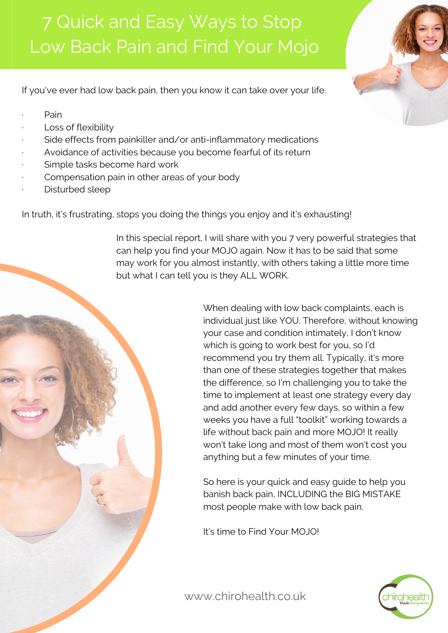If you've ever had low back pain, then you know it can take over your life.

- · Pain
- Loss of flexibility
- Side effects from painkiller and/or anti-inflammatory medications
- Avoidance of activities because you become fearful of its return
- Simple tasks become hard work
- Compensation pain in other areas of your body
- Disturbed sleep

In truth, it's frustrating, stops you doing the things you enjoy and it's exhausting!

In this special report, I will share with you 7 very powerful strategies that can help you find your MOJO again. Now it has to be said that some may work for you almost instantly, with others taking a little more time but what I can tell you is they ALL WORK.

> When dealing with low back complaints, each is individual just like YOU. Therefore, without knowing your case and condition intimately, I don't know which is going to work best for you, so I'd recommend you try them all. Typically, it's more than one of these strategies together that makes the difference, so I'm challenging you to take the time to implement at least one strategy every day and add another every few days, so within a few weeks you have a full "toolkit" working towards a life without back pain and more MOJO! It really won't take long and most of them won't cost you anything but a few minutes of your time.

So here is your quick and easy guide to help you banish back pain, INCLUDING the BIG MISTAKE most people make with low back pain.

It's time to Find Your MOJO!



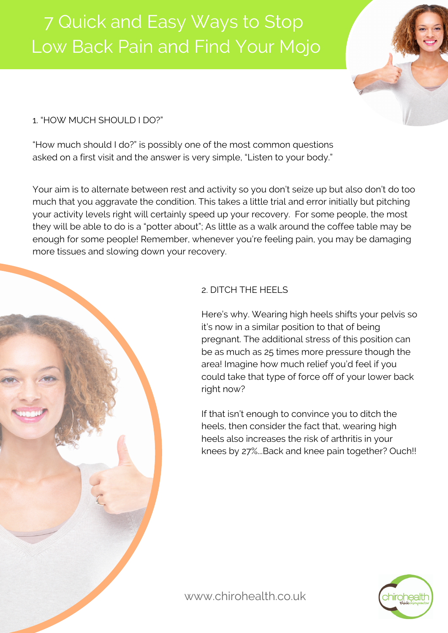

### 1. "HOW MUCH SHOULD I DO?"

"How much should I do?" is possibly one of the most common questions asked on a first visit and the answer is very simple, "Listen to your body."

Your aim is to alternate between rest and activity so you don't seize up but also don't do too much that you aggravate the condition. This takes a little trial and error initially but pitching your activity levels right will certainly speed up your recovery. For some people, the most they will be able to do is a "potter about"; As little as a walk around the coffee table may be enough for some people! Remember, whenever you're feeling pain, you may be damaging more tissues and slowing down your recovery.



### 2. DITCH THE HEELS

Here's why. Wearing high heels shifts your pelvis so it's now in a similar position to that of being pregnant. The additional stress of this position can be as much as 25 times more pressure though the area! Imagine how much relief you'd feel if you could take that type of force off of your lower back right now?

If that isn't enough to convince you to ditch the heels, then consider the fact that, wearing high heels also increases the risk of arthritis in your knees by 27%...Back and knee pain together? Ouch!!

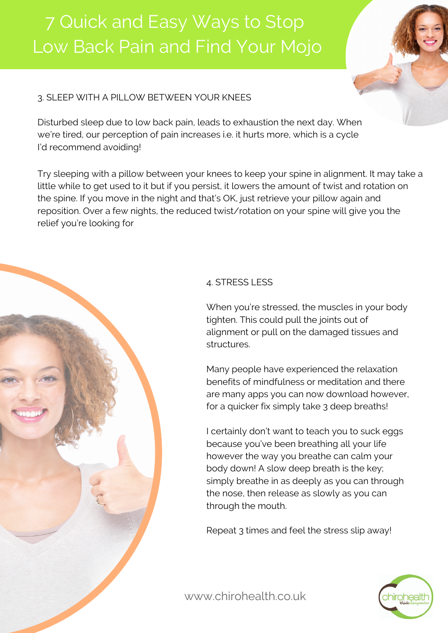

Disturbed sleep due to low back pain, leads to exhaustion the next day. When we're tired, our perception of pain increases i.e. it hurts more, which is a cycle I'd recommend avoiding!

Try sleeping with a pillow between your knees to keep your spine in alignment. It may take a little while to get used to it but if you persist, it lowers the amount of twist and rotation on the spine. If you move in the night and that's OK, just retrieve your pillow again and reposition. Over a few nights, the reduced twist/rotation on your spine will give you the relief you're looking for



When you're stressed, the muscles in your body tighten. This could pull the joints out of alignment or pull on the damaged tissues and structures.

Many people have experienced the relaxation benefits of mindfulness or meditation and there are many apps you can now download however, for a quicker fix simply take 3 deep breaths!

I certainly don't want to teach you to suck eggs because you've been breathing all your life however the way you breathe can calm your body down! A slow deep breath is the key; simply breathe in as deeply as you can through the nose, then release as slowly as you can through the mouth.

Repeat 3 times and feel the stress slip away!

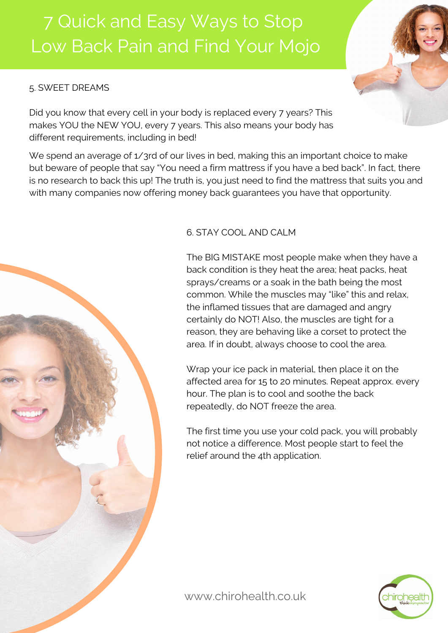### 5. SWEET DREAMS

Did you know that every cell in your body is replaced every 7 years? This makes YOU the NEW YOU, every 7 years. This also means your body has different requirements, including in bed!

We spend an average of 1/3rd of our lives in bed, making this an important choice to make but beware of people that say "You need a firm mattress if you have a bed back". In fact, there is no research to back this up! The truth is, you just need to find the mattress that suits you and with many companies now offering money back guarantees you have that opportunity.



### 6. STAY COOL AND CALM

The BIG MISTAKE most people make when they have a back condition is they heat the area; heat packs, heat sprays/creams or a soak in the bath being the most common. While the muscles may "like" this and relax, the inflamed tissues that are damaged and angry certainly do NOT! Also, the muscles are tight for a reason, they are behaving like a corset to protect the area. If in doubt, always choose to cool the area.

Wrap your ice pack in material, then place it on the affected area for 15 to 20 minutes. Repeat approx. every hour. The plan is to cool and soothe the back repeatedly, do NOT freeze the area.

The first time you use your cold pack, you will probably not notice a difference. Most people start to feel the relief around the 4th application.

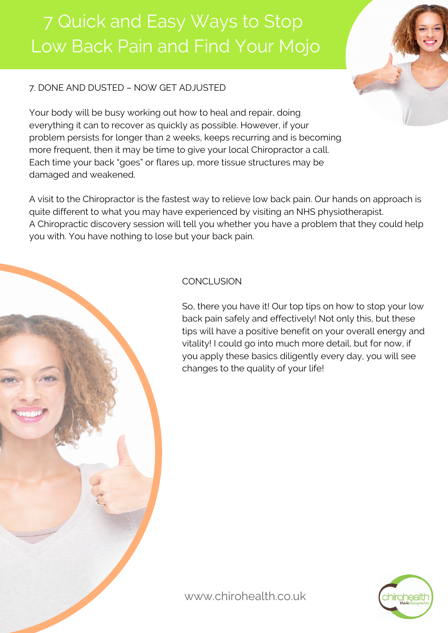### 7. DONE AND DUSTED – NOW GET ADJUSTED

Your body will be busy working out how to heal and repair, doing everything it can to recover as quickly as possible. However, if your problem persists for longer than 2 weeks, keeps recurring and is becoming more frequent, then it may be time to give your local Chiropractor a call. Each time your back "goes" or flares up, more tissue structures may be damaged and weakened.

A visit to the Chiropractor is the fastest way to relieve low back pain. Our hands on approach is quite different to what you may have experienced by visiting an NHS physiotherapist. A Chiropractic discovery session will tell you whether you have a problem that they could help you with. You have nothing to lose but your back pain.

### **CONCLUSION**

So, there you have it! Our top tips on how to stop your low back pain safely and effectively! Not only this, but these tips will have a positive benefit on your overall energy and vitality! I could go into much more detail, but for now, if you apply these basics diligently every day, you will see changes to the quality of your life!